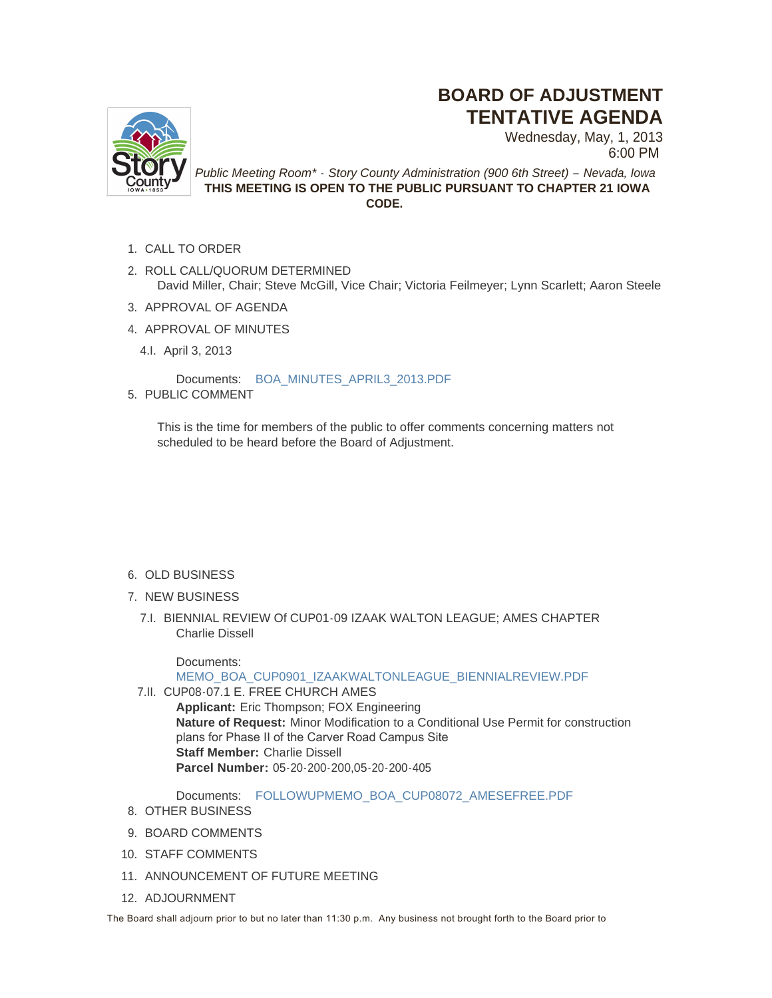## **BOARD OF ADJUSTMENT TENTATIVE AGENDA**



Wednesday, May, 1, 2013 6:00 PM

*Public Meeting Room\* - Story County Administration (900 6th Street) – Nevada, Iowa* **THIS MEETING IS OPEN TO THE PUBLIC PURSUANT TO CHAPTER 21 IOWA CODE.**

- 1. CALL TO ORDER
- 2. ROLL CALL/QUORUM DETERMINED David Miller, Chair; Steve McGill, Vice Chair; Victoria Feilmeyer; Lynn Scarlett; Aaron Steele
- 3. APPROVAL OF AGENDA
- 4. APPROVAL OF MINUTES
	- April 3, 2013 4.I.

Documents: [BOA\\_MINUTES\\_APRIL3\\_2013.PDF](http://www.storycountyiowa.gov/AgendaCenter/ViewFile/Item/1770?fileID=1216) 5. PUBLIC COMMENT

This is the time for members of the public to offer comments concerning matters not scheduled to be heard before the Board of Adjustment.

- 6. OLD BUSINESS
- 7. NEW BUSINESS
	- BIENNIAL REVIEW Of CUP01-09 IZAAK WALTON LEAGUE; AMES CHAPTER 7.I. Charlie Dissell

Documents:

[MEMO\\_BOA\\_CUP0901\\_IZAAKWALTONLEAGUE\\_BIENNIALREVIEW.PDF](http://www.storycountyiowa.gov/AgendaCenter/ViewFile/Item/1712?fileID=1199)

7.II. CUP08-07.1 E. FREE CHURCH AMES

**Applicant:** Eric Thompson; FOX Engineering **Nature of Request:** Minor Modification to a Conditional Use Permit for construction plans for Phase II of the Carver Road Campus Site **Staff Member:** Charlie Dissell **Parcel Number:** 05-20-200-200,05-20-200-405

Documents: [FOLLOWUPMEMO\\_BOA\\_CUP08072\\_AMESEFREE.PDF](http://www.storycountyiowa.gov/AgendaCenter/ViewFile/Item/1713?fileID=1200)

- 8. OTHER BUSINESS
- 9. BOARD COMMENTS
- 10. STAFF COMMENTS
- 11. ANNOUNCEMENT OF FUTURE MEETING
- 12. ADJOURNMENT

The Board shall adjourn prior to but no later than 11:30 p.m. Any business not brought forth to the Board prior to